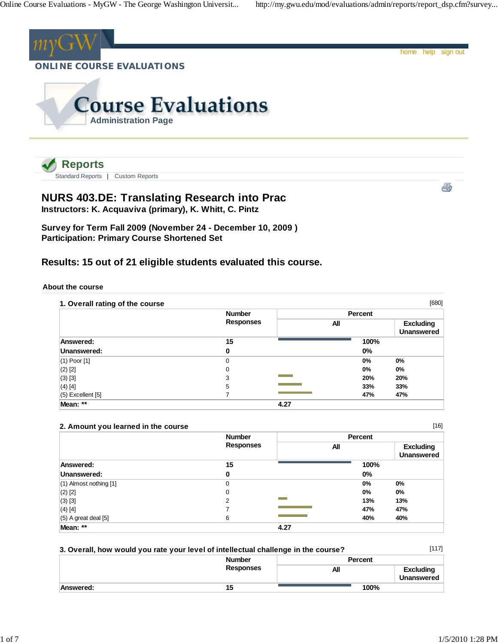Standard Reports | Custom Reports



# **NURS 403.DE: Translating Research into Prac**

**Instructors: K. Acquaviva (primary), K. Whitt, C. Pintz**

**Survey for Term Fall 2009 (November 24 - December 10, 2009 ) Participation: Primary Course Shortened Set**

## **Results: 15 out of 21 eligible students evaluated this course.**

#### **About the course**

| 1. Overall rating of the course |                  |      |         | [680]                                 |
|---------------------------------|------------------|------|---------|---------------------------------------|
|                                 | <b>Number</b>    |      | Percent |                                       |
|                                 | <b>Responses</b> | All  |         | <b>Excluding</b><br><b>Unanswered</b> |
| Answered:                       | 15               |      | 100%    |                                       |
| Unanswered:                     | 0                |      | 0%      |                                       |
| $(1)$ Poor $[1]$                | $\Omega$         |      | 0%      | 0%                                    |
| $(2)$ [2]                       | 0                |      | 0%      | $0\%$                                 |
| $(3)$ [3]                       | 3                |      | 20%     | 20%                                   |
| $(4)$ [4]                       | 5                |      | 33%     | 33%                                   |
| $(5)$ Excellent $[5]$           |                  |      | 47%     | 47%                                   |
| Mean: **                        |                  | 4.27 |         |                                       |

#### **2. Amount you learned in the course**

|                            | <b>Number</b>    | Percent |                                       |
|----------------------------|------------------|---------|---------------------------------------|
|                            | <b>Responses</b> | All     | <b>Excluding</b><br><b>Unanswered</b> |
| Answered:                  | 15               | 100%    |                                       |
| Unanswered:                | 0                | 0%      |                                       |
| $(1)$ Almost nothing $[1]$ | $\mathbf 0$      | $0\%$   | 0%                                    |
| $(2)$ [2]                  | 0                | $0\%$   | $0\%$                                 |
| $(3)$ [3]                  | 2                | 13%     | 13%                                   |
| $(4)$ [4]                  |                  | 47%     | 47%                                   |
| $(5)$ A great deal $[5]$   | 6                | 40%     | 40%                                   |
| Mean: **                   |                  | 4.27    |                                       |

| 3. Overall, how would you rate your level of intellectual challenge in the course? |                  |                | [117]                                 |
|------------------------------------------------------------------------------------|------------------|----------------|---------------------------------------|
|                                                                                    | <b>Number</b>    | <b>Percent</b> |                                       |
|                                                                                    | <b>Responses</b> | All            | <b>Excluding</b><br><b>Unanswered</b> |
| Answered:                                                                          | 15               | 100%           |                                       |

[16]

ê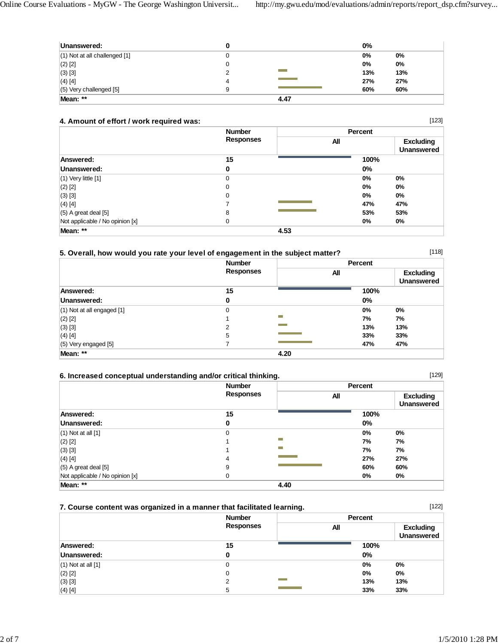| Unanswered:                       | ۰. |      | $0\%$ |     |
|-----------------------------------|----|------|-------|-----|
| $(1)$ Not at all challenged $[1]$ |    |      | 0%    | 0%  |
| $(2)$ [2]                         |    |      | 0%    | 0%  |
| $(3)$ [3]                         |    |      | 13%   | 13% |
| $(4)$ [4]                         | 4  |      | 27%   | 27% |
| $(5)$ Very challenged $[5]$       | 9  |      | 60%   | 60% |
| Mean: **                          |    | 4.47 |       |     |

#### **4. Amount of effort / work required was:**

|                                 | <b>Number</b><br><b>Responses</b> |      | Percent |                                       |
|---------------------------------|-----------------------------------|------|---------|---------------------------------------|
|                                 |                                   | All  |         | <b>Excluding</b><br><b>Unanswered</b> |
| Answered:                       | 15                                |      | 100%    |                                       |
| Unanswered:                     | 0                                 |      | $0\%$   |                                       |
| $(1)$ Very little $[1]$         | 0                                 |      | 0%      | $0\%$                                 |
| $(2)$ [2]                       | 0                                 |      | 0%      | 0%                                    |
| $(3)$ [3]                       | 0                                 |      | 0%      | $0\%$                                 |
| $(4)$ [4]                       |                                   |      | 47%     | 47%                                   |
| $(5)$ A great deal [5]          | 8                                 |      | 53%     | 53%                                   |
| Not applicable / No opinion [x] | 0                                 |      | 0%      | $0\%$                                 |
| Mean: **                        |                                   | 4.53 |         |                                       |

#### **5. Overall, how would you rate your level of engagement in the subject matter?**

 **Number Responses Percent All Excluding Unanswered Answered: 15 100% Unanswered:** 0 0% (1) Not at all engaged [1] 0 **0% 0%** (2) [2] 1 **7% 7%** (3) [3] 2 **13% 13%** (4) [4] 5 **33% 33%** (5) Very engaged [5] 7 **47% 47% Mean: \*\* 4.20**

#### **6. Increased conceptual understanding and/or critical thinking.**

|                                 | <b>Number</b><br><b>Responses</b> |      | Percent |                                       |
|---------------------------------|-----------------------------------|------|---------|---------------------------------------|
|                                 |                                   | All  |         | <b>Excluding</b><br><b>Unanswered</b> |
| Answered:                       | 15                                |      | 100%    |                                       |
| Unanswered:                     | 0                                 |      | 0%      |                                       |
| $(1)$ Not at all $[1]$          | 0                                 |      | $0\%$   | 0%                                    |
| $(2)$ [2]                       |                                   | ÷    | 7%      | 7%                                    |
| $(3)$ [3]                       |                                   | -    | 7%      | 7%                                    |
| $(4)$ [4]                       | 4                                 |      | 27%     | 27%                                   |
| $(5)$ A great deal $[5]$        | 9                                 |      | 60%     | 60%                                   |
| Not applicable / No opinion [x] | 0                                 |      | 0%      | $0\%$                                 |
| Mean: **                        |                                   | 4.40 |         |                                       |

### **7. Course content was organized in a manner that facilitated learning.**

| <b>Number</b><br><b>Responses</b> | Percent |                                       |  |
|-----------------------------------|---------|---------------------------------------|--|
|                                   | All     | <b>Excluding</b><br><b>Unanswered</b> |  |
| 15                                | 100%    |                                       |  |
| 0                                 | 0%      |                                       |  |
| 0                                 | 0%      | 0%                                    |  |
| 0                                 | $0\%$   | 0%                                    |  |
| 2                                 | 13%     | 13%                                   |  |
| 5                                 | 33%     | 33%                                   |  |
|                                   |         |                                       |  |

[118]

[129]

[122]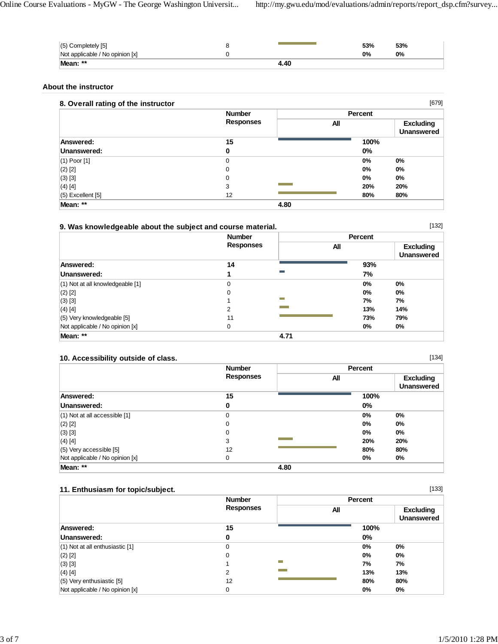| $(5)$ Completely $[5]$          |      | 53% | 53% |
|---------------------------------|------|-----|-----|
| Not applicable / No opinion [x] |      | 0%  | 0%  |
| Mean: **                        | 4.40 |     |     |

#### **About the instructor**

## **8. Overall rating of the instructor**

| 8. Overall rating of the instructor |                  |      |                | [679]                          |
|-------------------------------------|------------------|------|----------------|--------------------------------|
|                                     | <b>Number</b>    |      | <b>Percent</b> |                                |
|                                     | <b>Responses</b> | All  |                | <b>Excluding</b><br>Unanswered |
| Answered:                           | 15               |      | 100%           |                                |
| Unanswered:                         | $\mathbf 0$      |      | $0\%$          |                                |
| $(1)$ Poor $[1]$                    | $\mathbf 0$      |      | 0%             | 0%                             |
| $(2)$ [2]                           | 0                |      | 0%             | 0%                             |
| $(3)$ [3]                           | $\mathbf 0$      |      | 0%             | 0%                             |
| $(4)$ [4]                           | 3                |      | 20%            | 20%                            |
| $(5)$ Excellent $[5]$               | 12               |      | 80%            | 80%                            |
| Mean: **                            |                  | 4.80 |                |                                |

### **9. Was knowledgeable about the subject and course material.**

|                                      | <b>Number</b><br><b>Responses</b> |            | Percent |                                       |
|--------------------------------------|-----------------------------------|------------|---------|---------------------------------------|
|                                      |                                   |            | All     | <b>Excluding</b><br><b>Unanswered</b> |
| Answered:                            | 14                                |            | 93%     |                                       |
| Unanswered:                          |                                   | m.         | 7%      |                                       |
| $(1)$ Not at all knowledgeable $[1]$ | 0                                 |            | 0%      | $0\%$                                 |
| $(2)$ [2]                            | $\Omega$                          |            | 0%      | 0%                                    |
| $(3)$ [3]                            |                                   | <b>COL</b> | 7%      | 7%                                    |
| $(4)$ [4]                            | 2                                 |            | 13%     | 14%                                   |
| (5) Very knowledgeable [5]           | 11                                |            | 73%     | 79%                                   |
| Not applicable / No opinion [x]      | 0                                 |            | 0%      | 0%                                    |
| Mean: **                             |                                   | 4.71       |         |                                       |

### **10. Accessibility outside of class.**

|                                   | <b>Number</b>    | <b>Percent</b> |                                       |
|-----------------------------------|------------------|----------------|---------------------------------------|
|                                   | <b>Responses</b> | All            | <b>Excluding</b><br><b>Unanswered</b> |
| <b>Answered:</b>                  | 15               | 100%           |                                       |
| Unanswered:                       | 0                | 0%             |                                       |
| $(1)$ Not at all accessible $[1]$ | 0                | 0%             | 0%                                    |
| $(2)$ [2]                         | 0                | 0%             | $0\%$                                 |
| $(3)$ [3]                         | $\mathbf 0$      | 0%             | 0%                                    |
| $(4)$ [4]                         | 3                | 20%            | 20%                                   |
| $(5)$ Very accessible $[5]$       | 12               | 80%            | 80%                                   |
| Not applicable / No opinion [x]   | 0                | 0%             | $0\%$                                 |
| Mean: **                          |                  | 4.80           |                                       |

#### **11. Enthusiasm for topic/subject.**

|                                     | <b>Number</b>    | Percent                                      |
|-------------------------------------|------------------|----------------------------------------------|
|                                     | <b>Responses</b> | <b>Excluding</b><br>All<br><b>Unanswered</b> |
| Answered:                           | 15               | 100%                                         |
| Unanswered:                         | 0                | 0%                                           |
| $(1)$ Not at all enthusiastic $[1]$ | $\Omega$         | $0\%$<br>0%                                  |
| $(2)$ [2]                           | $\Omega$         | 0%<br>$0\%$                                  |
| $(3)$ [3]                           |                  | 7%<br>7%                                     |
| $(4)$ [4]                           | 2                | 13%<br>13%                                   |
| $(5)$ Very enthusiastic [5]         | 12               | 80%<br>80%                                   |
| Not applicable / No opinion [x]     | $\Omega$         | $0\%$<br>0%                                  |

[134]

[133]

[132]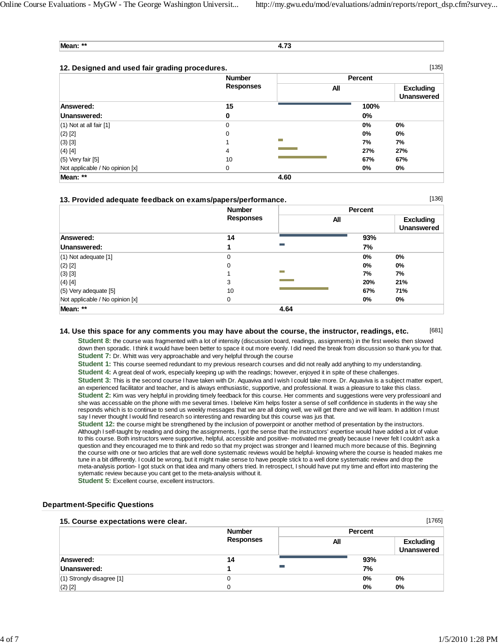[136]

**Mean: \*\* 4.73**

| [135]<br>12. Designed and used fair grading procedures. |                                   |      |                |                                       |
|---------------------------------------------------------|-----------------------------------|------|----------------|---------------------------------------|
|                                                         | <b>Number</b><br><b>Responses</b> |      | <b>Percent</b> |                                       |
|                                                         |                                   | All  |                | <b>Excluding</b><br><b>Unanswered</b> |
| Answered:                                               | 15                                |      | 100%           |                                       |
| Unanswered:                                             | 0                                 |      | $0\%$          |                                       |
| $(1)$ Not at all fair $[1]$                             | $\Omega$                          |      | 0%             | 0%                                    |
| $(2)$ [2]                                               | $\Omega$                          |      | $0\%$          | $0\%$                                 |
| $(3)$ [3]                                               |                                   | −    | 7%             | 7%                                    |
| $(4)$ [4]                                               | 4                                 |      | 27%            | 27%                                   |
| $(5)$ Very fair $[5]$                                   | 10                                |      | 67%            | 67%                                   |
| Not applicable / No opinion [x]                         | 0                                 |      | $0\%$          | $0\%$                                 |
| Mean: **                                                |                                   | 4.60 |                |                                       |

#### **13. Provided adequate feedback on exams/papers/performance.**

|                                 | <b>Number</b>    |                  | Percent |                                       |  |
|---------------------------------|------------------|------------------|---------|---------------------------------------|--|
|                                 | <b>Responses</b> |                  | All     | <b>Excluding</b><br><b>Unanswered</b> |  |
| Answered:                       | 14               |                  | 93%     |                                       |  |
| Unanswered:                     |                  | Ħ                | 7%      |                                       |  |
| $(1)$ Not adequate $[1]$        | 0                |                  | $0\%$   | 0%                                    |  |
| $(2)$ [2]                       | 0                |                  | 0%      | 0%                                    |  |
| $(3)$ [3]                       |                  | <b>The State</b> | 7%      | 7%                                    |  |
| $(4)$ [4]                       | 3                |                  | 20%     | 21%                                   |  |
| $(5)$ Very adequate $[5]$       | 10               |                  | 67%     | 71%                                   |  |
| Not applicable / No opinion [x] | 0                |                  | 0%      | 0%                                    |  |
| Mean: **                        |                  | 4.64             |         |                                       |  |

#### [681] **14. Use this space for any comments you may have about the course, the instructor, readings, etc.**

**Student 8:** the course was fragmented with a lot of intensity (discussion board, readings, assignments) in the first weeks then slowed down then sporadic. I think it would have been better to space it out more evenly. I did need the break from discussion so thank you for that. **Student 7:** Dr. Whitt was very approachable and very helpful through the course

**Student 1:** This course seemed redundant to my previous research courses and did not really add anything to my understanding.

**Student 4:** A great deal of work, especially keeping up with the readings; however, enjoyed it in spite of these challenges.

**Student 3:** This is the second course I have taken with Dr. Aquaviva and I wish I could take more. Dr. Aquaviva is a subject matter expert, an experienced facilitator and teacher, and is always enthusiastic, supportive, and professional. It was a pleasure to take this class. **Student 2:** Kim was very helpful in providing timely feedback for this course. Her comments and suggestions were very professioanl and she was accessable on the phone with me several times. I beleive Kim helps foster a sense of self confidence in students in the way she responds which is to continue to send us weekly messages that we are all doing well, we will get there and we will learn. In addition I must say I never thought I would find research so interesting and rewarding but this course was jus that.

**Student 12:** the course might be strengthened by the inclusion of powerpoint or another method of presentation by the instructors. Although I self-taught by reading and doing the assignments, I got the sense that the instructors' expertise would have added a lot of value to this course. Both instructors were supportive, helpful, accessible and positive- motivated me greatly because I never felt I couldn't ask a question and they encouraged me to think and redo so that my project was stronger and I learned much more because of this. Beginning the course with one or two articles that are well done systematic reviews would be helpful- knowing where the course is headed makes me tune in a bit differently. I could be wrong, but it might make sense to have people stick to a well done systematic review and drop the meta-analysis portion- I got stuck on that idea and many others tried. In retrospect, I should have put my time and effort into mastering the sytematic review because you cant get to the meta-analysis without it.

**Student 5:** Excellent course, excellent instructors.

#### **Department-Specific Questions**

#### **15. Course expectations were clear.**

| [1765]<br>15. Course expectations were clear. |                  |         |                                       |  |
|-----------------------------------------------|------------------|---------|---------------------------------------|--|
|                                               | <b>Number</b>    | Percent |                                       |  |
|                                               | <b>Responses</b> | All     | <b>Excluding</b><br><b>Unanswered</b> |  |
| Answered:                                     | 14               | 93%     |                                       |  |
| Unanswered:                                   | <b>The State</b> | 7%      |                                       |  |
| $(1)$ Strongly disagree [1]                   | 0                | 0%      | 0%                                    |  |
| $(2)$ [2]                                     |                  | 0%      | 0%                                    |  |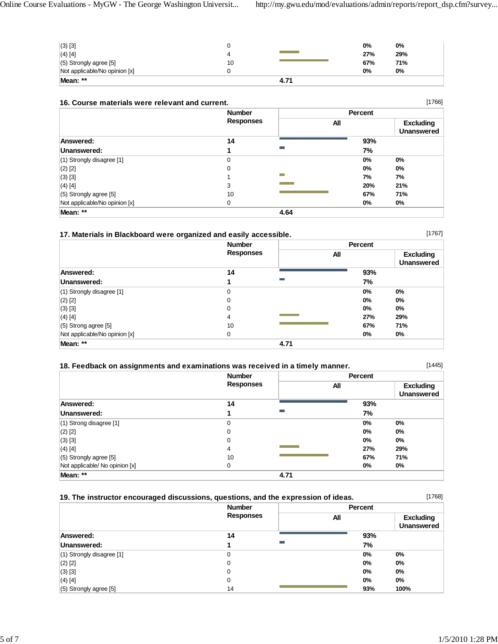| $(3)$ [3]                     |    |      | 0%  | 0%  |
|-------------------------------|----|------|-----|-----|
| $(4)$ [4]                     | 4  |      | 27% | 29% |
| $(5)$ Strongly agree $[5]$    | 10 |      | 67% | 71% |
| Not applicable/No opinion [x] |    |      | 0%  | 0%  |
| Mean: **                      |    | 4.71 |     |     |

| 16. Course materials were relevant and current. |  |  |  |  |  |  |  |
|-------------------------------------------------|--|--|--|--|--|--|--|
|-------------------------------------------------|--|--|--|--|--|--|--|

| [1766]<br>16. Course materials were relevant and current. |                                   |      |         |                                       |
|-----------------------------------------------------------|-----------------------------------|------|---------|---------------------------------------|
|                                                           | <b>Number</b><br><b>Responses</b> |      | Percent |                                       |
|                                                           |                                   |      | All     | <b>Excluding</b><br><b>Unanswered</b> |
| Answered:                                                 | 14                                |      | 93%     |                                       |
| Unanswered:                                               |                                   |      | 7%      |                                       |
| $(1)$ Strongly disagree [1]                               | 0                                 |      | 0%      | 0%                                    |
| $(2)$ [2]                                                 | 0                                 |      | 0%      | 0%                                    |
| $(3)$ [3]                                                 |                                   |      | 7%      | 7%                                    |
| $(4)$ [4]                                                 | 3                                 |      | 20%     | 21%                                   |
| $(5)$ Strongly agree [5]                                  | 10                                |      | 67%     | 71%                                   |
| Not applicable/No opinion [x]                             | 0                                 |      | 0%      | $0\%$                                 |
| Mean: **                                                  |                                   | 4.64 |         |                                       |

[1767]

| 17. Materials in Blackboard were organized and easily accessible. | <b>Number</b>    |                  |     | Percent                               |  |
|-------------------------------------------------------------------|------------------|------------------|-----|---------------------------------------|--|
|                                                                   | <b>Responses</b> |                  | All | <b>Excluding</b><br><b>Unanswered</b> |  |
| Answered:                                                         | 14               |                  | 93% |                                       |  |
| Unanswered:                                                       |                  | <b>The State</b> | 7%  |                                       |  |
| $(1)$ Strongly disagree [1]                                       | 0                |                  | 0%  | $0\%$                                 |  |
| $(2)$ [2]                                                         | 0                |                  | 0%  | $0\%$                                 |  |
| $(3)$ [3]                                                         | 0                |                  | 0%  | $0\%$                                 |  |
| $(4)$ [4]                                                         | 4                |                  | 27% | 29%                                   |  |
| $(5)$ Strong agree [5]                                            | 10               |                  | 67% | 71%                                   |  |
| Not applicable/No opinion [x]                                     | 0                |                  | 0%  | 0%                                    |  |
| Mean: **                                                          |                  | 4.71             |     |                                       |  |

| 18. Feedback on assignments and examinations was received in a timely manner. |                                   |                |                                       |  |
|-------------------------------------------------------------------------------|-----------------------------------|----------------|---------------------------------------|--|
|                                                                               | <b>Number</b><br><b>Responses</b> | <b>Percent</b> |                                       |  |
|                                                                               |                                   | All            | <b>Excluding</b><br><b>Unanswered</b> |  |
| Answered:                                                                     | 14                                | 93%            |                                       |  |
| Unanswered:                                                                   | <b>Contract</b>                   | 7%             |                                       |  |
| $(1)$ Strong disagree [1]                                                     | 0                                 | $0\%$          | $0\%$                                 |  |
| $(2)$ [2]                                                                     | 0                                 | $0\%$          | $0\%$                                 |  |
| $(3)$ [3]                                                                     | 0                                 | $0\%$          | $0\%$                                 |  |
| $(4)$ [4]                                                                     | 4                                 | 27%            | 29%                                   |  |
| (5) Strongly agree [5]                                                        | 10                                | 67%            | 71%                                   |  |
| Not applicable/ No opinion [x]                                                | 0                                 | 0%             | 0%                                    |  |
| Mean: **                                                                      |                                   | 4.71           |                                       |  |

| 19. The instructor encouraged discussions, questions, and the expression of ideas. | [1768]           |         |                                       |
|------------------------------------------------------------------------------------|------------------|---------|---------------------------------------|
|                                                                                    | <b>Number</b>    | Percent |                                       |
|                                                                                    | <b>Responses</b> | All     | <b>Excluding</b><br><b>Unanswered</b> |
| Answered:                                                                          | 14               | 93%     |                                       |
| Unanswered:                                                                        | Ħ                | 7%      |                                       |
| (1) Strongly disagree [1]                                                          | 0                | $0\%$   | $0\%$                                 |
| $(2)$ [2]                                                                          | 0                | $0\%$   | 0%                                    |
| $(3)$ [3]                                                                          | 0                | $0\%$   | 0%                                    |
| $(4)$ [4]                                                                          | 0                | $0\%$   | $0\%$                                 |
| $(5)$ Strongly agree [5]                                                           | 14               | 93%     | 100%                                  |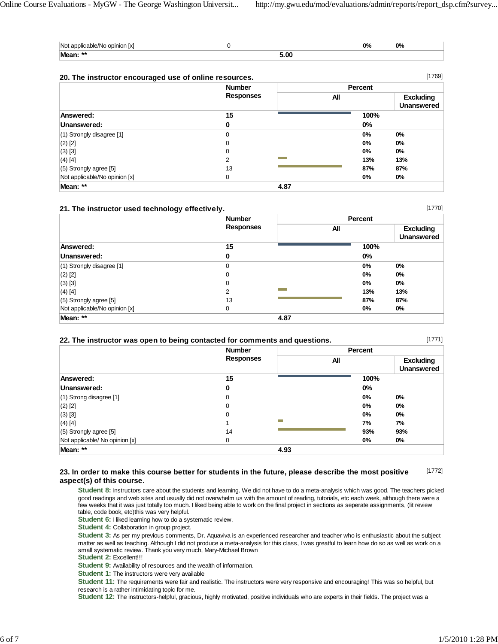| Not<br><u>Ixl</u><br>opinion<br>alıcahle/Nc |      | no,<br>V / 0 | no,<br>V / 0 |
|---------------------------------------------|------|--------------|--------------|
| Mean: **                                    | 5.00 |              |              |

| [1769]<br>20. The instructor encouraged use of online resources. |                  |      |         |                                       |
|------------------------------------------------------------------|------------------|------|---------|---------------------------------------|
|                                                                  | <b>Number</b>    |      | Percent |                                       |
|                                                                  | <b>Responses</b> |      | All     | <b>Excluding</b><br><b>Unanswered</b> |
| Answered:                                                        | 15               |      | 100%    |                                       |
| Unanswered:                                                      | 0                |      | $0\%$   |                                       |
| $(1)$ Strongly disagree [1]                                      | 0                |      | 0%      | 0%                                    |
| $(2)$ [2]                                                        | 0                |      | 0%      | 0%                                    |
| $(3)$ [3]                                                        | 0                |      | 0%      | $0\%$                                 |
| $(4)$ [4]                                                        | 2                |      | 13%     | 13%                                   |
| $(5)$ Strongly agree [5]                                         | 13               |      | 87%     | 87%                                   |
| Not applicable/No opinion [x]                                    | 0                |      | 0%      | 0%                                    |
| Mean: **                                                         |                  | 4.87 |         |                                       |

#### **21. The instructor used technology effectively.**

|                               | <b>Number</b>    |      | Percent |                                       |  |
|-------------------------------|------------------|------|---------|---------------------------------------|--|
|                               | <b>Responses</b> |      | All     | <b>Excluding</b><br><b>Unanswered</b> |  |
| Answered:                     | 15               |      | 100%    |                                       |  |
| Unanswered:                   | 0                |      | 0%      |                                       |  |
| $(1)$ Strongly disagree [1]   | 0                |      | 0%      | 0%                                    |  |
| $(2)$ [2]                     | $\mathbf 0$      |      | 0%      | $0\%$                                 |  |
| $(3)$ [3]                     | 0                |      | 0%      | 0%                                    |  |
| (4) [4]                       | 2                |      | 13%     | 13%                                   |  |
| $(5)$ Strongly agree $[5]$    | 13               |      | 87%     | 87%                                   |  |
| Not applicable/No opinion [x] | 0                |      | 0%      | $0\%$                                 |  |
| Mean: **                      |                  | 4.87 |         |                                       |  |

|  |  |  |  |  |  |  | 22. The instructor was open to being contacted for comments and questions. |
|--|--|--|--|--|--|--|----------------------------------------------------------------------------|
|--|--|--|--|--|--|--|----------------------------------------------------------------------------|

[1771]

[1770]

|                                | <b>Number</b>    | Percent |                                       |  |  |
|--------------------------------|------------------|---------|---------------------------------------|--|--|
|                                | <b>Responses</b> | All     | <b>Excluding</b><br><b>Unanswered</b> |  |  |
| Answered:                      | 15               | 100%    |                                       |  |  |
| Unanswered:                    | 0                | $0\%$   |                                       |  |  |
| $(1)$ Strong disagree [1]      | 0                | 0%      | 0%                                    |  |  |
| $(2)$ [2]                      | 0                | 0%      | 0%                                    |  |  |
| $(3)$ [3]                      | 0                | 0%      | 0%                                    |  |  |
| $(4)$ [4]                      | −                | 7%      | 7%                                    |  |  |
| $(5)$ Strongly agree [5]       | 14               | 93%     | 93%                                   |  |  |
| Not applicable/ No opinion [x] | 0                | 0%      | 0%                                    |  |  |
| Mean: **                       |                  | 4.93    |                                       |  |  |

#### [1772] **23. In order to make this course better for students in the future, please describe the most positive aspect(s) of this course.**

**Student 8:** Instructors care about the students and learning. We did not have to do a meta-analysis which was good. The teachers picked good readings and web sites and usually did not overwhelm us with the amount of reading, tutorials, etc each week, although there were a few weeks that it was just totally too much. I liked being able to work on the final project in sections as seperate assignments, (lit review table, code book, etc)this was very helpful.

**Student 6:** I liked learning how to do a systematic review.

**Student 4:** Collaboration in group project.

**Student 3:** As per my previous comments, Dr. Aquaviva is an experienced researcher and teacher who is enthusiastic about the subject matter as well as teaching. Although I did not produce a meta-analysis for this class, I was greatful to learn how do so as well as work on a small systematic review. Thank you very much, Mary-Michael Brown

**Student 2:** Excellent!!!

**Student 9:** Availability of resources and the wealth of information.

**Student 1:** The instructors were very available

**Student 11:** The requirements were fair and realistic. The instructors were very responsive and encouraging! This was so helpful, but research is a rather intimidating topic for me.

**Student 12:** The instructors-helpful, gracious, highly motivated, positive individuals who are experts in their fields. The project was a